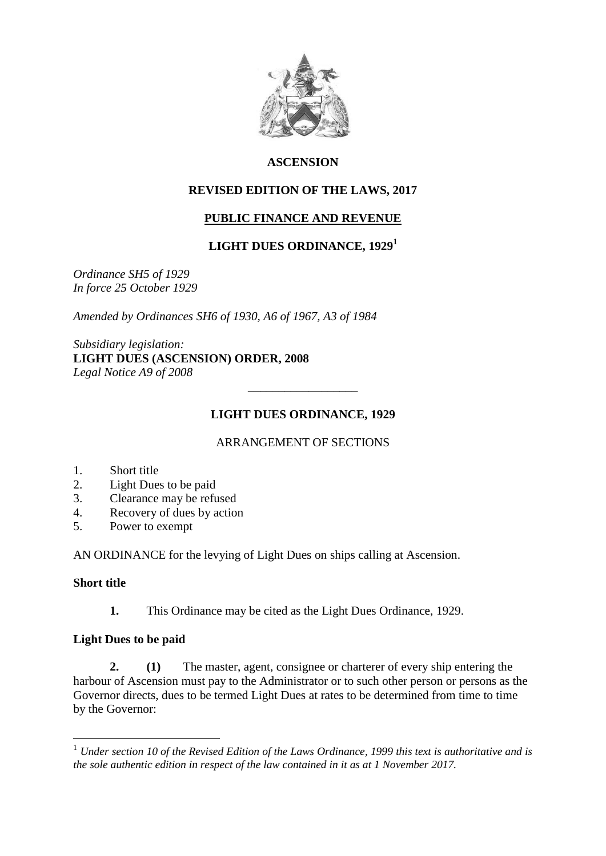

#### **ASCENSION**

#### **REVISED EDITION OF THE LAWS, 2017**

# **PUBLIC FINANCE AND REVENUE**

### **LIGHT DUES ORDINANCE, 1929<sup>1</sup>**

*Ordinance SH5 of 1929 In force 25 October 1929*

*Amended by Ordinances SH6 of 1930, A6 of 1967, A3 of 1984*

*Subsidiary legislation:* **LIGHT DUES (ASCENSION) ORDER, 2008** *Legal Notice A9 of 2008*

#### **LIGHT DUES ORDINANCE, 1929**

\_\_\_\_\_\_\_\_\_\_\_\_\_\_\_\_\_\_

#### ARRANGEMENT OF SECTIONS

- 1. Short title
- 2. Light Dues to be paid
- 3. Clearance may be refused
- 4. Recovery of dues by action
- 5. Power to exempt

AN ORDINANCE for the levying of Light Dues on ships calling at Ascension.

#### **Short title**

1

**1.** This Ordinance may be cited as the Light Dues Ordinance, 1929.

#### **Light Dues to be paid**

**2. (1)** The master, agent, consignee or charterer of every ship entering the harbour of Ascension must pay to the Administrator or to such other person or persons as the Governor directs, dues to be termed Light Dues at rates to be determined from time to time by the Governor:

<sup>1</sup> *Under section 10 of the Revised Edition of the Laws Ordinance, 1999 this text is authoritative and is the sole authentic edition in respect of the law contained in it as at 1 November 2017.*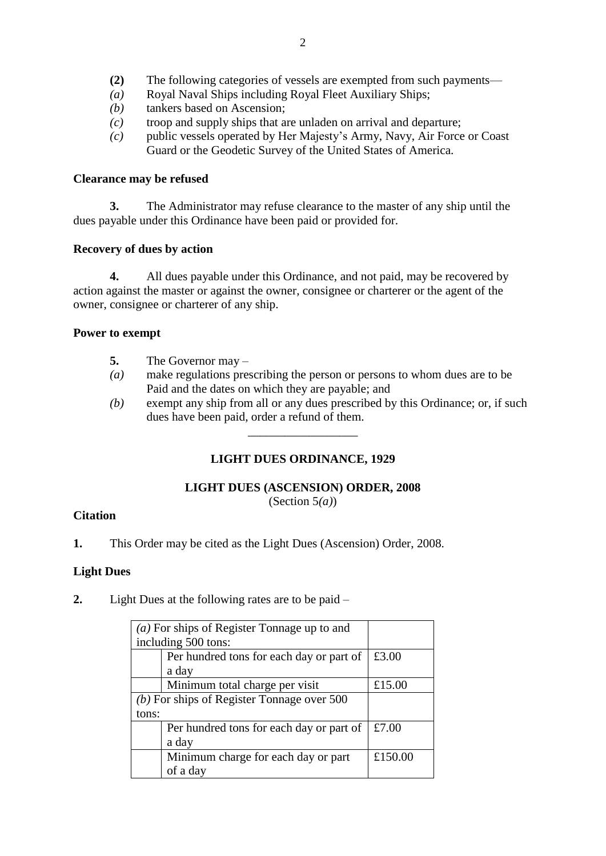- **(2)** The following categories of vessels are exempted from such payments—
- *(a)* Royal Naval Ships including Royal Fleet Auxiliary Ships;
- *(b)* tankers based on Ascension;
- *(c)* troop and supply ships that are unladen on arrival and departure;
- *(c)* public vessels operated by Her Majesty's Army, Navy, Air Force or Coast Guard or the Geodetic Survey of the United States of America.

### **Clearance may be refused**

**3.** The Administrator may refuse clearance to the master of any ship until the dues payable under this Ordinance have been paid or provided for.

### **Recovery of dues by action**

**4.** All dues payable under this Ordinance, and not paid, may be recovered by action against the master or against the owner, consignee or charterer or the agent of the owner, consignee or charterer of any ship.

### **Power to exempt**

- **5.** The Governor may –
- *(a)* make regulations prescribing the person or persons to whom dues are to be Paid and the dates on which they are payable; and
- *(b)* exempt any ship from all or any dues prescribed by this Ordinance; or, if such dues have been paid, order a refund of them.

# **LIGHT DUES ORDINANCE, 1929**

\_\_\_\_\_\_\_\_\_\_\_\_\_\_\_\_\_\_

# **LIGHT DUES (ASCENSION) ORDER, 2008**

(Section 5*(a)*)

# **Citation**

**1.** This Order may be cited as the Light Dues (Ascension) Order, 2008.

# **Light Dues**

**2.** Light Dues at the following rates are to be paid –

|                                              | ( <i>a</i> ) For ships of Register Tonnage up to and |         |
|----------------------------------------------|------------------------------------------------------|---------|
| including 500 tons:                          |                                                      |         |
|                                              | Per hundred tons for each day or part of             | £3.00   |
|                                              | a day                                                |         |
|                                              | Minimum total charge per visit                       | £15.00  |
| $(b)$ For ships of Register Tonnage over 500 |                                                      |         |
| tons:                                        |                                                      |         |
|                                              | Per hundred tons for each day or part of             | £7.00   |
|                                              | a day                                                |         |
|                                              | Minimum charge for each day or part                  | £150.00 |
|                                              | of a day                                             |         |